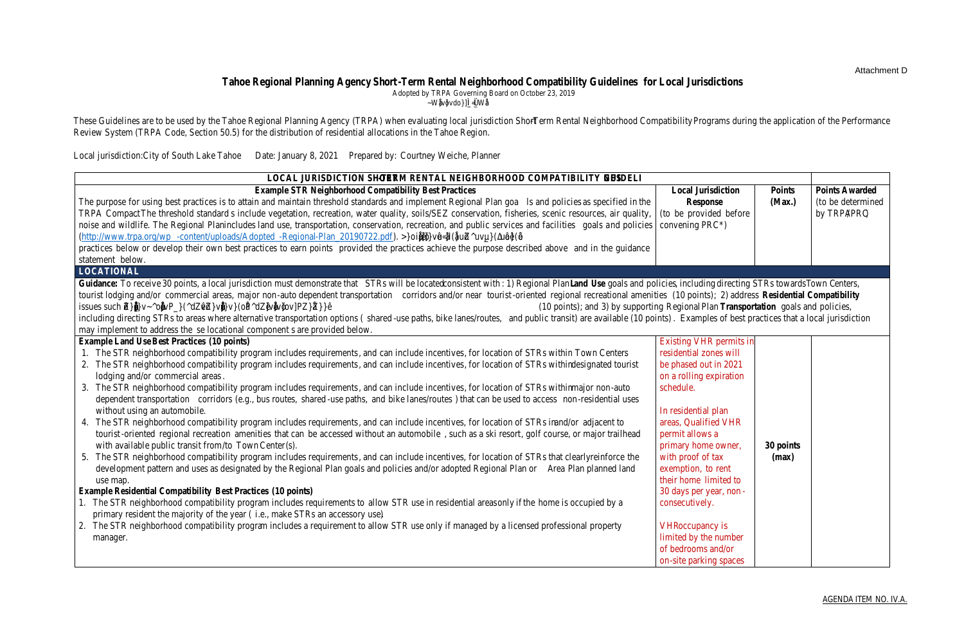

**Mail** PO Box 5310 Stateline, NV 89449-5310 Location 128 Market Street Stateline, NV 89449 Contact

Phone: 775-588-4547 Fax: 775-588-4527 www.trpa.org

### STAFF REPORT

Date: February 16, 2021

To: Residential Allocation Performance Review Committee

From: TRPA Staff

Subject: Recommendation to Distribute 2021 and 2022 Residential Allocations

### Summary and Staff Recommendation:

In the Tahoe Region, residential allocations are distributed to local jurisdictions every two years from the total number of allocations released every four years by the Tahoe Regional Planning Agency (TRPA). Distribution to the local jurisdictions is based on three criteria: 1) residential permit review and code compliance; 2) Total Maximum Daily Load (TMDL) implementation; and 3) short-term rental neighborhood compatibility (TRPA Code, Section 50.5). The Performance Review Committee (PRC), comprised of staff from each participating local jurisdiction and the Tahoe Regional Planning Agency (TRPA), is tasked with reviewing the Performance Review System results as set forth in this staff summary. Based on the review, the PRC is asked to make a recommendation to the Governing Board to distribute the allocations.<sup>1</sup>

Based on the Performance Review System addressed in TRPA Code, Section 50.5: *Allocation of Additional Development*, TRPA staff recommends:

- 1) The City of South Lake Tahoe receive its base number of residential allocations;
- 2) El Dorado County receive its base number of residential allocations;
- 3) Placer County receive its base number of allocations with one increment of deduction for both 2021 and 2022 [Note that TRPA recommends that this recommendation be reevaluated if the County adopts adequate location criteria by the time the Governing Board considers the distribution of allocations];
- 4) Douglas County receive its base number of allocations with one increment of deduction for both 2021 and 2022 [Note that TRPA recommends that this recommendation be reevaluated if the County adopts the recommendations from the Douglas County VHR Task Force by the time the Governing Board considers the distribution of allocations]; and
- 5) Washoe County receive its base number of allocations with two increments of deduction (3.5, rounded up to 4) for both 2021 and 2022 [Note that TRPA recommends that this recommendation be reevaluated if the County adopts a STR ordinance by the time the Governing Board considers the distribution of allocations].

<sup>1</sup>Pursuant to TRPA Code 50.5.2.A.1, TRPA will reserve 10% of each jurisdiction's annual allocations for distribution to parcels below the Individual Parcel Evaluation Score (IPES) line.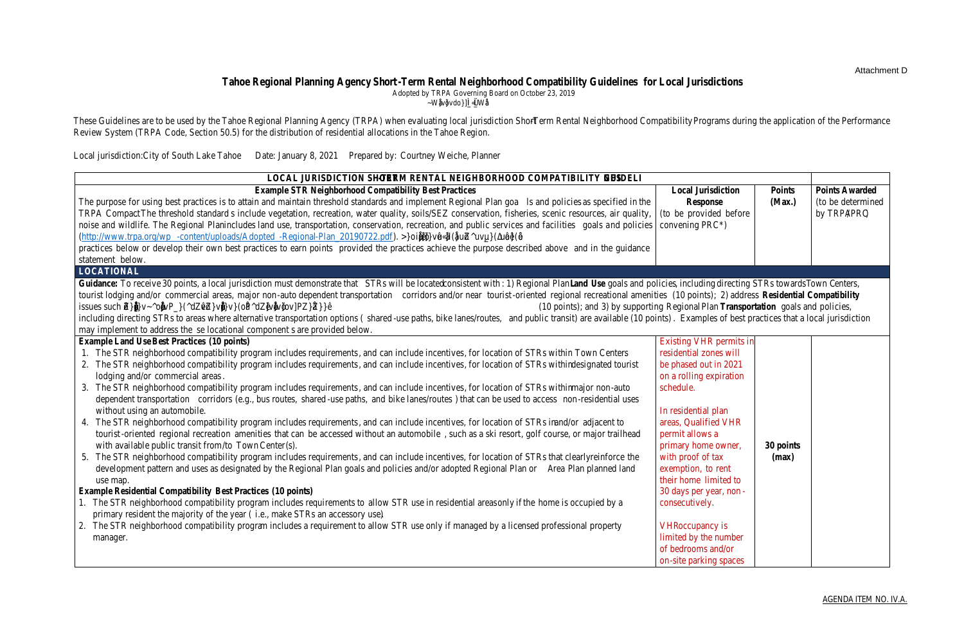#### Required Motions:

In order to recommend approval of the proposed allocation distribution to the Governing Board, the PRC must make the following motions, based on this staff summary and the evidence in the record:

- 1) A motion that the proposed distribution of residential allocations for 2021 and 2022 meets the requirements of Chapter 50, Section 50.5: *Allocation of Additional Residential Units* of the TRPA Code of Ordinances; and
- 2) A motion to recommend approval of the distribution of residential allocations for 2021 and 2022.

### Residential Audits:

In 2019 and 2020, TRPA staff completed residential project review and code compliance audits for each jurisdiction (City of South Lake Tahoe, Douglas County, El Dorado County, Placer County, and Washoe County), as required by TRPA Code of Ordinances Section 50.5.2.E. The purpose of these audits is to (1) ensure residential projects reviewed and inspected by Memorandum of Understanding (MOU) partners on behalf of TRPA comply with the TRPA Code and Rules of Procedure, (2) identify project review training and education opportunities for MOU partners, and (3) provide the PRC with a summary of MOU performance for the distribution of residential allocations.

The 2019 and 2020 Audit Results are provided below. Local jurisdictions were provided initial audit results and provided an opportunity to work with TRPA to address comments before final scores were determined. In jurisdictions without an active MOU, permits issued by TRPA were audited by TRPA staff. Overall, MOU partners did an exceptional job completing TRPA environmental review, ensuring project files were complete and well organized, and completing inspections. As a result, TRPA staff is not recommending any deductions to allocations because all jurisdictions received Audit scores of greater than 90%.

| Trable 1: 2019 & 2020 MOU Residential Project & Compilance Review Audits |                |                   |                |                |                   |         |
|--------------------------------------------------------------------------|----------------|-------------------|----------------|----------------|-------------------|---------|
|                                                                          | 2019           |                   |                | 2020           |                   |         |
| <b>Jurisdiction</b>                                                      | <b>Project</b> | <b>Compliance</b> | <b>Average</b> | <b>Project</b> | <b>Compliance</b> | Average |
|                                                                          | <b>Review</b>  |                   |                | <b>Review</b>  |                   |         |
| City of South Lake                                                       | 90%            | 95%               | 93%            | 95%            | 95%               | 95%     |
| Tahoe                                                                    |                |                   |                |                |                   |         |
| Douglas County                                                           | 95%            | 97%               | 96%            | 92%            | 97%               | 95%     |
| El Dorado County                                                         | 94%            | 96%               | 95%            | 92%            | 97%               | 95%     |
| <b>Placer County</b>                                                     | 96%            | 93%               | 95%            | 95%            | 93%               | 94%     |
| <b>Washoe County</b>                                                     | 92%            | 94%               | 93%            | 96%            | 95%               | 96%     |

| Table 1: 2019 & 2020 MOU Residential Project & Compliance Review Audits |  |  |
|-------------------------------------------------------------------------|--|--|
|                                                                         |  |  |

As part of the audit, TRPA identified potential training and educational opportunities the Agency could facilitate in collaboration with local jurisdictional partners to ensure successful delegation. In response, the Agency has and will continue to provide virtual trainings to local jurisdictions on permit review and inspections.

#### TMDL Implementation:

According to the Lahontan Regional Water Quality Control Board and Nevada Division of Environmental Protection, all jurisdictions in California and Nevada achieved their 2019 Lake Tahoe Total Maximum Daily Load (TMDL) credit targets and have achieved or are anticipated to achieve their 2020 TMDL credit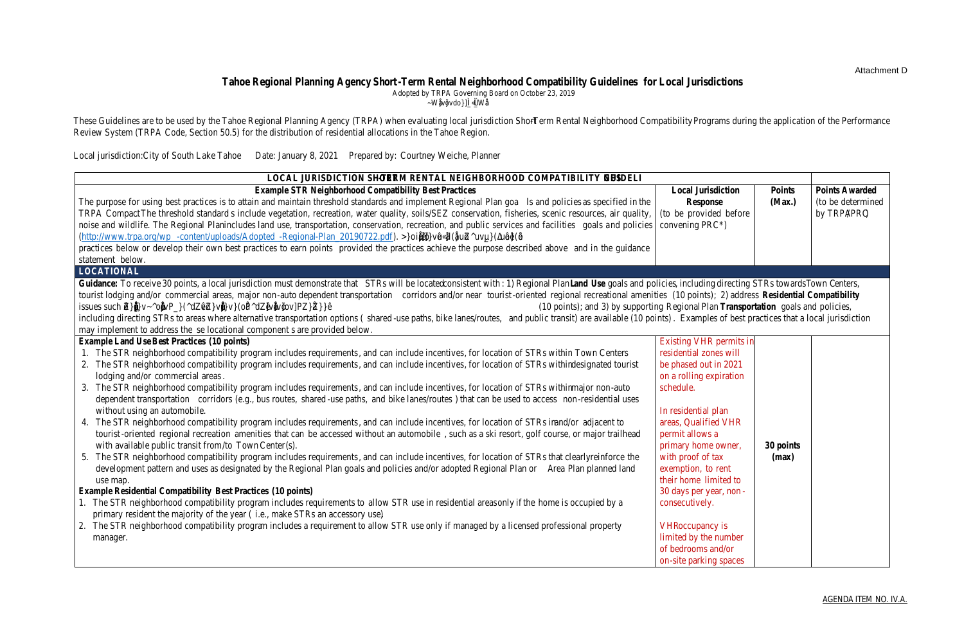targets. The results are documented on the [Clarity Tracker's Urban Uplands Results page](https://clarity.laketahoeinfo.org/Results/Detail/UrbanUplands) (clarity.laketahoeinfo.org/Results/Detail/UrbanUplands) and in the [2020 TMDL Performance Report.](https://clarity.laketahoeinfo.org/FileResource/DisplayResource/c13d1095-1d58-4b64-ab26-25b40eae33cb)<sup>2</sup> As a result, TRPA staff is not recommending any deductions to allocations because all jurisdictions are in compliance with TMDL crediting targets.

# Short-Term Rental Neighborhood Compatibility:

In 2019, TRPA's Local Government and Housing Committee convened a Short-Term Rental (STR) Neighborhood Compatibility Working Group to develop STR Neighborhood Compatibility Guidelines and a Code amendment to make STR neighborhood compatibility a third criterion of the Performance Review System. The Guidelines were developed to provide local jurisdictions a range of options and flexibility in implementing and achieving STR neighborhood compatibility. TRPA maintains information developed by the STR Neighborhood Compatibility Working Group and links to local jurisdiction STR (also referred to as Vacation Home Rentals, or VHRs) permitting and enforcement programs at: [www.trpa.org/short-term-rental-neighborhood-compatibility.](http://www.trpa.org/short-term-rental-neighborhood-compatibility)

On October 23, 2019, the TRPA Governing Board added STR neighborhood compatibility as a third criterion to the Performance Review System and directed staff to use the Guidelines during the application of the Performance Review System (TRPA Code, Section 50.5.2.E). The Code states that a local jurisdiction that receives a score of 90 percent or greater based on the Guidelines shall receive their full allotment of residential allocations, be penalized one increment of deduction for a score between 75 and 89 percent, or be penalized two increments of deduction for a score below 75 percent.

In November 2020, TRPA staff provided the Guidelines to local jurisdiction staff and asked that they provide responses as to how their jurisdiction is addressing STR neighborhood compatibility locational, operational, and enforcement criteria. TRPA staff reviewed local jurisdiction responses and found that four of the five local jurisdictions in the Tahoe Region now have adopted STR/ VHR ordinances and have corresponding enforcement programs in place. Washoe County is currently the only jurisdiction without an STR ordinance; but is actively working on getting one in place. Local jurisdictions with adopted STR/VHR ordinances have all addressed noise, occupancy, parking, refuse, defensible space, and public health and safety. At this time, none of the local jurisdictions are addressing water quality (requiring applicants to obtain a Best Management Practices certificate before obtaining a STR/VHR permit). The local jurisdictions with adopted STR/VHR ordinances also have established STR/VHR enforcement programs.

The locational criterion continues to be the most challenging criterion for the local jurisdictions to address. Under the locational criterion, a local jurisdiction must demonstrate that STRs are being located consistent with Regional Plan Land Use Goals and Policies, including directing STRs towards Town Centers, tourist lodging and/or commercial areas, major non-auto dependent transportation corridors and/or near tourist-oriented regional recreational amenities; address residential compatibility issues such as the over saturation ("clustering") of STRs and the construction of large STRs in residential neighborhoods; and support Regional Plan Transportation Goals and Policies, including directing STRs to areas where alternative transportation options (shared-use paths, bike lanes/routes, and public transit) are available.

A summary of recent local jurisdiction activity related to STR management is provided below:

<sup>2</sup> Source: Mary Fiore-Wagner, Lahontan Regional Water Quality Control Board, and Jason Kuchnicki, Nevada Division of Environmental Protection.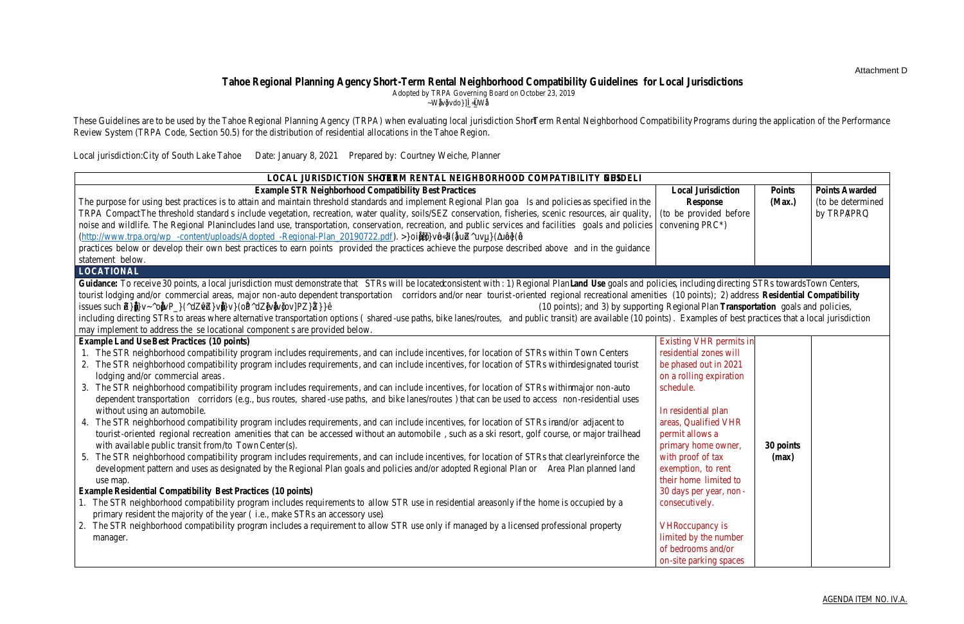**Douglas County** – In 2019, the Douglas County Board of Commissioners directed the County Manager to create a citizen's taskforce to assist the County Manager in developing recommendations to address VHRs in the Tahoe Township. The VHR Taskforce was formed and conducted several meetings in 2019 and 2020. The VHR Taskforce considered the TRPA STR Neighborhood Compatibility Guidelines when developing their recommendations. The County Manager subsequently created a Technical Advisory Group to review the recommendations. In August 2020, the Board reviewed the recommendations, which include creating a cap of 725 VHR permits in the Tahoe Township and updating the County's existing VHR Ordinance to better address permitting, parking, noise and trash. The Board decided to delay any decisions until the new Board was put in place in 2021. The Board considered the recommendations on February 4, 2021, and will be considering them again on February 18, 2021. Information on the County's VHR Permitting and Enforcement Program is available at: [www.douglascounty.gov.](http://www.douglascounty.gov/)

**El Dorado County** – In 2020, the County held virtual public meetings to discuss limiting the number and density of VHRs in the Tahoe Basin, focusing on the guidelines from TRPA. On December 2, 2020, the Board of Supervisors updated the County's VHR Ordinance limiting the total amount of VHR permits that may be issued to 900. On February 9, 2021, the Board discussed the concept of adding buffers around VHRs. They directed staff to come back in 30 to 60 days with more detail on 300 foot and 500 foot buffers and a 1,000 foot buffer around large homes. The Board requested more data on the cost to implement buffers versus the benefit. Information on the County's VHR Permitting and Enforcement Program is available at[: www.edcgov.us/Government/planning/vhr.](http://www.edcgov.us/Government/planning/vhr)

**Placer County** – In 2019, the Placer County Board of Supervisors adopted an STR Ordinance and expanded their enforcement program. Placer County considered the STR Neighborhood Compatibility Guidelines when developing their STR program. The County has a Transit Occupancy Tax (TOT) Rebate Program to incentivize lodging in Town Centers, including STRs, and is considering looking at other strategies to address the locational criterion in the STR Neighborhood Compatibility Guidelines. Information on the County's STR Permitting and Enforcement Program is available at: [www.placer.ca.gov/6109/Short-Term-Rental-Program.](http://www.placer.ca.gov/6109/Short-Term-Rental-Program)

**City of South Lake Tahoe -** Measure T was approved by voters on November 6, 2018. Measure T requires the phase-out of all VHR permits in residential areas and all multi-family properties over a three-year period, with full implementation of these provisions to occur by December 31, 2021. Measure T prohibits the issuance of new VHR permits in residential areas. Measure T does not affect existing or future VHR permits in non-residential areas (i.e., tourist core, commercial, and recreation zones) of South Lake Tahoe, except for multi-family properties where VHR permits are no longer allowed anywhere in the City. In compliance with the City VHR Ordinance (Measure T), VHR permits in residential areas will not be renewed as their expiration date comes up throughout 2021. Measure T allows for properties within a residential zone, whose owner is a permanent resident of the City, to vacation rent the entire dwelling for up to 30 days (consecutive or non-consecutive) total per oneyear permit period. In November 2020, the City Council adopted a hosted rental ordinance establishing regulations allowing a qualified homeowner or tenant to rent a portion of their home. Information on the City's VHR and Hosted Rental Programs are available at: cityofslt.us/453/Vacation-Home-Rentals an[d www.cityofslt.us/1089/Hosted-Rentals.com](http://www.cityofslt.us/1089/Hosted-Rentals.com)

**Washoe County** – A draft STR ordinance for the unincorporated areas of the County was reviewed by the Board of Commissioners on February 25, 2020. The Board directed staff to make changes. Washoe County planned to present an updated draft STR ordinance to their Board in August, but the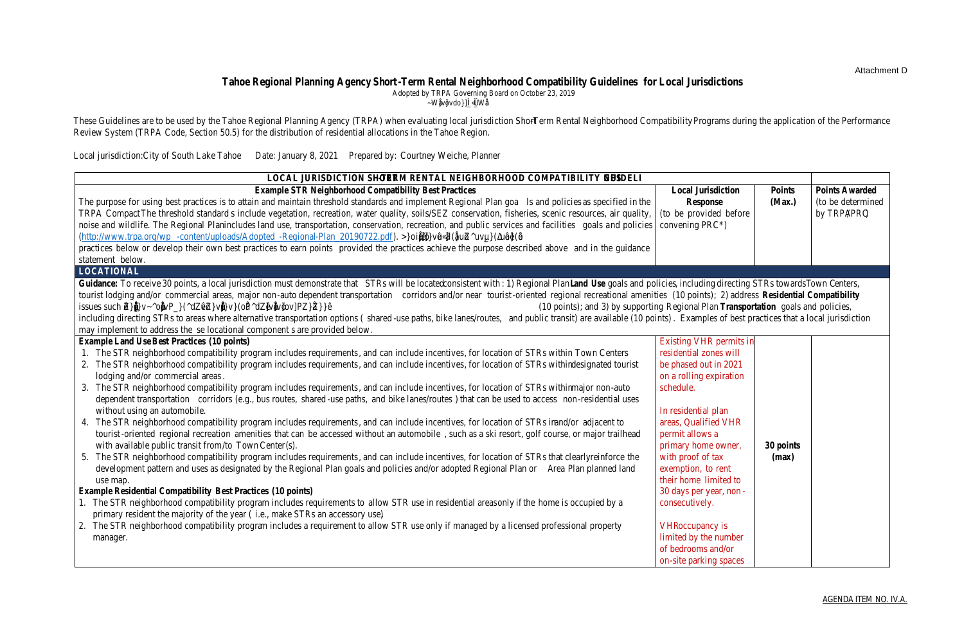meeting was delayed because of technical issues. Washoe County staff plans to present an updated STR ordinance to their Board on February 23, 2021. The County did not submit STR Guidelines to TRPA because an ordinance has yet to be adopted. The County is planning on providing TRPA responses to the Guidelines after the first reading of their STR ordinance. Information on the County's draft STR Ordinance is available at:

[www.washoecounty.us/csd/planning\\_and\\_development/str.php](http://www.washoecounty.us/csd/planning_and_development/str.php)

All of the jurisdictions are now using Host Compliance to monitor the location of STRs and bring illegal STRs into compliance with local requirements.

A summary of the points TRPA is recommending be awarded to each of the local jurisdictions based on their STR programs is shown in Table 2 (below). The Guidelines submitted by the local jurisdictions are provided as Attachments A, B, C & D

| Table 2: Short-Term Rental Neighborhood Compatibility Scores |              |                |                |                |     |
|--------------------------------------------------------------|--------------|----------------|----------------|----------------|-----|
| <b>BEST PRACTICES</b>                                        | <b>DC</b>    | <b>EDC</b>     | <b>PC</b>      | <b>CSLT</b>    | WC* |
| <b>LOCATIONAL (maximum 30 points</b>                         |              |                |                |                |     |
| Land Use (10 points)                                         | $\Omega$     | $\mathbf 0$    | $\mathbf 0$    | 10             | n/a |
| Residential Compatibility (10                                | $\mathbf{1}$ | 10             | $\overline{2}$ | 10             | n/a |
| points)                                                      |              |                |                |                |     |
| Transportation (10 points)                                   | 4            | $\overline{2}$ | 8              | 8              | n/a |
| Other Best Practices (can                                    | 10           | 10             | 5              | $\overline{2}$ | n/a |
| substitute up to 30 points)**                                |              |                |                |                |     |
| <b>OPERATIONAL (maximum 30 points)</b>                       |              |                |                |                |     |
| Noise (5 points)                                             | 5            | 5              | 5              | 5              | n/a |
| Occupancy (2.5 points)                                       | 2.5          | 2.5            | 2.5            | 2.5            | n/a |
| Parking (5 points)                                           | 5            | 5              | 5              | 5              | n/a |
| Refuse (5 points)                                            | 5            | 5              | 5              | 5              | n/a |
| Defensible Space (2.5 points)                                | 2.5          | 2.5            | 2.5            | 2.5            | n/a |
| Water Quality (2.5 points)                                   | 0            | $\mathbf 0$    | 0              | $\mathbf 0$    | n/a |
| Public Health & Safety (5                                    | 5            | 5              | 5              | 5              | n/a |
| points)                                                      |              |                |                |                |     |
| Education (2.5 points)                                       | 2.5          | 2.5            | 2.5            | 2.5            | n/a |
| <b>Other Best Practices (can</b>                             | 2.5          | 2.5            | 2.5            | 2.5            | n/a |
| substitute for up to 30                                      |              |                |                |                |     |
| points)***                                                   |              |                |                |                |     |
| <b>ENFORCEMENT (maximum 40 points)</b>                       |              |                |                |                |     |
| Implementation (15 points)                                   | 15           | 15             | 15             | 15             | n/a |
| Funding (10 points)                                          | 10           | 10             | 10             | 10             | n/a |
| Education (10 points)                                        | 10           | 10             | 10             | 10             | n/a |
| Penalties (5 points)                                         | 5            | 5              | 5              | 5              | n/a |
| <b>TOTAL</b>                                                 | 85           | 92             | 85             | 100            | n/a |

\*Washoe County has yet to submit STR Neighborhood Compatibility Guidelines to TRPA.

\*\*TRPA is recommending Douglas County and El Dorado County be able to substitute points for developing working groups and hosting public workshops that informed locational criterion policy recommendations and actively working to implement those recommendations.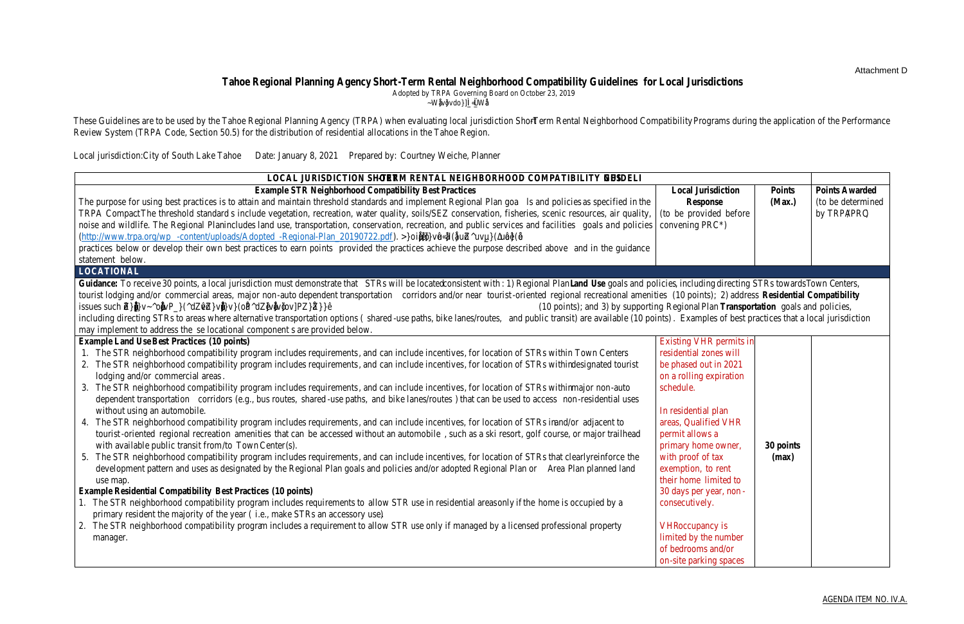\*\*\*TRPA is recommending that Douglas County, El Dorado County, Placer County, and City of South Lake Tahoe be able to substitute up to 2.5 points, to achieve a maximum score of 30 under the operational criterion, because all of the jurisdictions are maintaining websites and are requiring permits.

A summary of TRPA staff recommendations is provided below:

**Douglas County** - TRPA is currently proposing to subtract one increment of deduction (2 allocations) from Douglas County's annual base allocation for both 2021 and 2022 because the County currently has a score between 75% and 89% on the STR Neighborhood Compatibility Guidelines. TRPA staff is however recommending that Douglas County receive their full base allocations if the Board of Commissioners adopts the VHR Task Force recommendations, including the 725 cap by the time the TRPA Governing Board considers the distribution of allocations. In addition, TRPA recommends that the County consider requiring Best Management Practices be installed at all VHRs in the Tahoe Township.

**El Dorado County** - El Dorado County scored over 90% on the STR Neighborhood Compatibility Guidelines and therefore no deductions are recommended by TRPA. TRPA recommends that the County move forward with addressing the issue of clustering VHRs and consider requiring Best Management Practices be installed at all VHRs.

**Placer County** - TRPA is proposing to subtract one increment of deduction (6.5 allocations, rounded up to 7) from Placer County's annual base allocation for both 2021 and 2022 because the County scored between 75% and 89% on the STR Neighborhood Compatibility Guidelines and has yet to address the locational criterion or water quality. TRPA recommends that the County move forward with addressing the locational criterion and consider requiring Best Management Practices be installed at all VHRs.

**City of South Lake Tahoe** - The City of South Lake scored over 90% on the STR Neighborhood Compatibility Guidelines and therefore no deductions are recommended by TRPA. TRPA recommends the City consider requiring Best Management Practices be installed at all VHRs.

**Washoe County** - TRPA is currently proposing to subtract two increments of deduction (3.5, rounded up to 4) from Washoe County's annual base allocation for both 2021 and 2022 because the County has yet to adopt an ordinance or provide responses to the Guidelines. TRPA staff is recommending that the Governing Board consider reconsidering this recommendation if the County adopts an STR ordinance and provides responses to the STR Neighborhood Compatibility Guidelines to TRPA.

TRPA recognizes that local jurisdictions had just over a year to develop and/or update STR programs following the adoption of the Performance Review System Code update and Guidelines and that all of the jurisdictions have been impacted this past year by COVID-19. TRPA took these factors into consideration when developing the recommendations. The Agency sincerely appreciates the significant amount of work and time local jurisdictions and citizens have put into developing programs to better manage STRs in the Tahoe Region.

#### Automated Allocation Certificates and Letters**:**

Allocation certificate letters for 2021 and 2022 are now going to be automatically generated when an Allocation Transaction is proposed in the Lake Tahoe Info Parcel Tracker. The Allocation certificates and letters will be available to download from the Residential Allocation Number's Detail Page.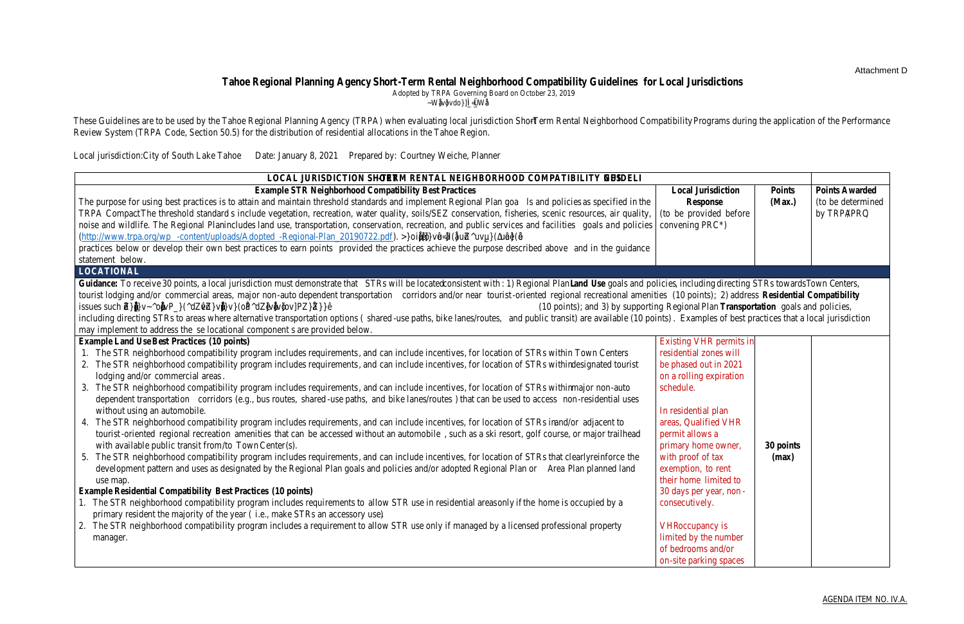### Performance Review System Results:

Douglas County – Base number of residential allocations is 10 per year.

- 2019 Permit Monitoring and Compliance: Douglas County scored 95% on the project review portion of the performance audit and scored 97% on the compliance portion.
- 2020 Permit Monitoring and Compliance: Douglas County scored 92% on the project review portion of the performance audit and scored 97% on the compliance portion.
- TMDL Implementation: Douglas County is meeting all TMDL targets pursuant to their Interlocal Agreement (ILA).
- Short-Term Rental Neighborhood Compatibility Guidelines: Douglas County scored 85% on the STR Neighborhood Compatibility Guidelines.
- Recommendation: Staff recommends that Douglas County receive 8 residential allocations for 2021 and 8 residential allocations for 2022.

El Dorado County – Base number of residential allocations is 30 per year.

- 2019 Permit Monitoring and Compliance: El Dorado County scored 94% on the project review portion of the performance audit and scored 96% on the compliance portion.
- 2020 Permit Monitoring and Compliance: El Dorado County scored 92% on the project review portion of the performance audit and scored 97% on the compliance portion.
- TMDL Implementation: El Dorado County is in compliance with Lake Tahoe TMDL and Municipal Storm Water Permit requirements, including Lake Clarity Credit requirements.
- Short-Term Rental Neighborhood Compatibility Guidelines: El Dorado County scored 92% on the STR Neighborhood Compatibility Guidelines.
- Recommendation: Staff recommends that El Dorado County receive 30 residential allocations for 2021 and 30 residential allocations for 2022.

Placer County – Base number of residential allocations is 37 per year.

- 2019 Permit Monitoring and Compliance: Placer County scored 96% on the project review portion of the performance audit and scored 93% on the compliance portion.
- 2020 Permit Monitoring and Compliance: Placer County scored 95% on the project review portion of the performance audit and scored 93% on the compliance portion.
- TMDL Implementation: Placer County is in compliance with Lake Tahoe TMDL and Municipal Storm Water Permit requirements, including Lake Clarity Credit requirements.
- Short-Term Rental Neighborhood Compatibility Guidelines: Placer County scored 85% on the STR Neighborhood Compatibility Guidelines.
- Recommendation: Staff recommends that Placer County receive 30 residential allocations for 2021 and 30 residential allocations for 2022.

City of South Lake Tahoe – Base number of residential allocations is 33 per year.

- 2019 Permit Monitoring and Compliance: The City of South Lake Tahoe scored 90% on the project review portion of the performance audit and scored 95% on the compliance portion.
- 2020 Permit Monitoring and Compliance: The City of South Lake Tahoe scored 95% on the project review portion of the performance audit and scored 95% on the compliance portion.
- TMDL Implementation: The City of South Lake Tahoe is in compliance with Lake Tahoe TMDL and Municipal Storm Water Permit requirements, including Lake Clarity Credit requirements.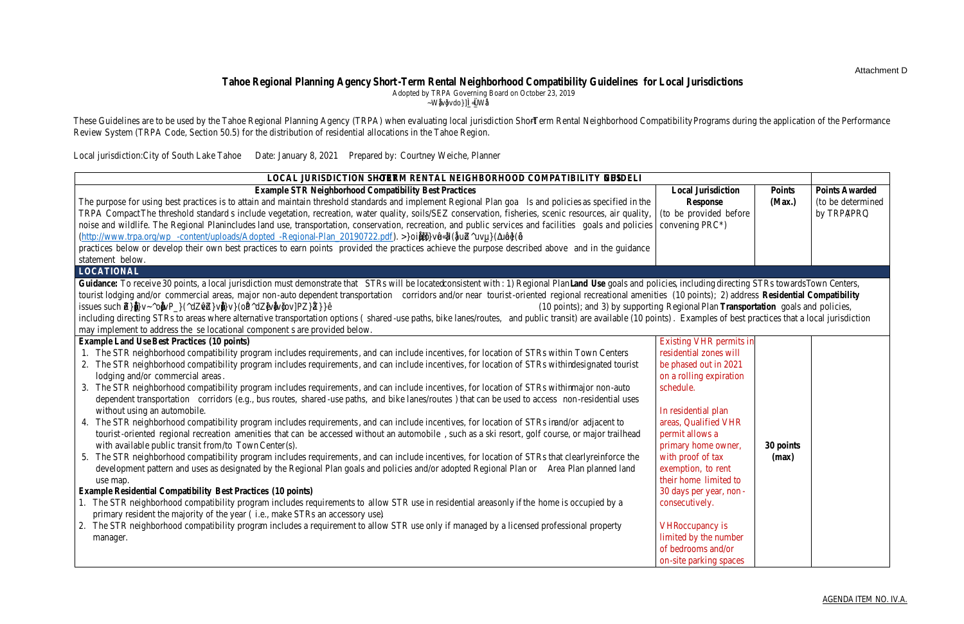- Short-Term Rental Neighborhood Compatibility Guidelines: The City of South Lake Tahoe scored 100 percent on the STR Neighborhood Compatibility Guidelines.
- Recommendation: Staff recommends that the City of South Lake Tahoe receive 33 residential allocations for 2021 and 33 residential allocations for 2022.

Washoe County – Base number of residential allocations is 10 per year.

- 2019 Permit Monitoring and Compliance: Washoe County scored 92% on the project review portion of the performance audit and scored 94% on the compliance portion.
- 2020 Permit Monitoring and Compliance: Washoe County scored 96% on the project review portion of the performance audit and scored 95% on the compliance portion.
- TMDL Implementation: Washoe County is meeting all TMDL targets pursuant to their Interlocal Agreement (ILA).
- Short-Term Rental Neighborhood Compatibility Guidelines: Washoe County did not submit a response to the STR Neighborhood Compatibility Guidelines.
- Recommendation: Based on TRPA Code, Section 50.5.2, which requires two increments of deduction for a score below 75% on the STR Neighborhood Compatibility Guidelines, staff recommends that Washoe County be deducted two increments (3.5 rounded up to 4) from their base allocation for 2021 and 2022. Thus, staff recommends Washoe County receive 6 residential allocations for 2020 and  $6$  residential allocations for 2021.

#### Results:

TRPA staff recommends the Governing Board allocate the following amount of residential allocations to each jurisdiction for 2021 and 2022:

| Douglas County 16 allocations            |                 |
|------------------------------------------|-----------------|
| El Dorado County  60 allocations         |                 |
|                                          |                 |
| City of South Lake Tahoe. 66 allocations |                 |
|                                          |                 |
| Total                                    | 214 allocations |

| Table 3: 2019 & 2020 Performance Evaluation Results Summary |                                          |                                 |                                                               |                                                                    |  |
|-------------------------------------------------------------|------------------------------------------|---------------------------------|---------------------------------------------------------------|--------------------------------------------------------------------|--|
| <b>Jurisdiction</b>                                         | <b>Annual Base</b><br><b>Allocation*</b> | <b>Deduction</b><br>Increments* | <b>Minimum</b><br><b>Allocation with</b><br><b>Deductions</b> | <b>Total</b><br>Recommended<br>2021 and 2022<br><b>Allocations</b> |  |
| <b>Douglas County</b>                                       | 10                                       | 2.0                             | 2                                                             | 16                                                                 |  |
| <b>El Dorado County</b>                                     | 30                                       | 5.5                             | 8                                                             | 60                                                                 |  |
| <b>Placer County</b>                                        | 37                                       | 6.5                             | 11                                                            | 60                                                                 |  |
| <b>City of South Lake Tahoe</b>                             | 33                                       | 5.75                            | 10                                                            | 66                                                                 |  |
| <b>Washoe County</b>                                        | 10                                       | 1.75                            | 3                                                             | 12                                                                 |  |
| <b>Total</b>                                                | 120                                      |                                 | 34                                                            | 214                                                                |  |

\* The Annual Base Allocation and Deduction Increments are provided in Table 50.5.2 of TRPA Code. One deduction increment equals the number of allocations shown for individual jurisdictions. If the final allocation results in a decimal ending in 0.5 or higher the allocation is rounded up to the nearest whole number, if the decimal is below 0.5 the allocation is rounded down to the nearest whole number.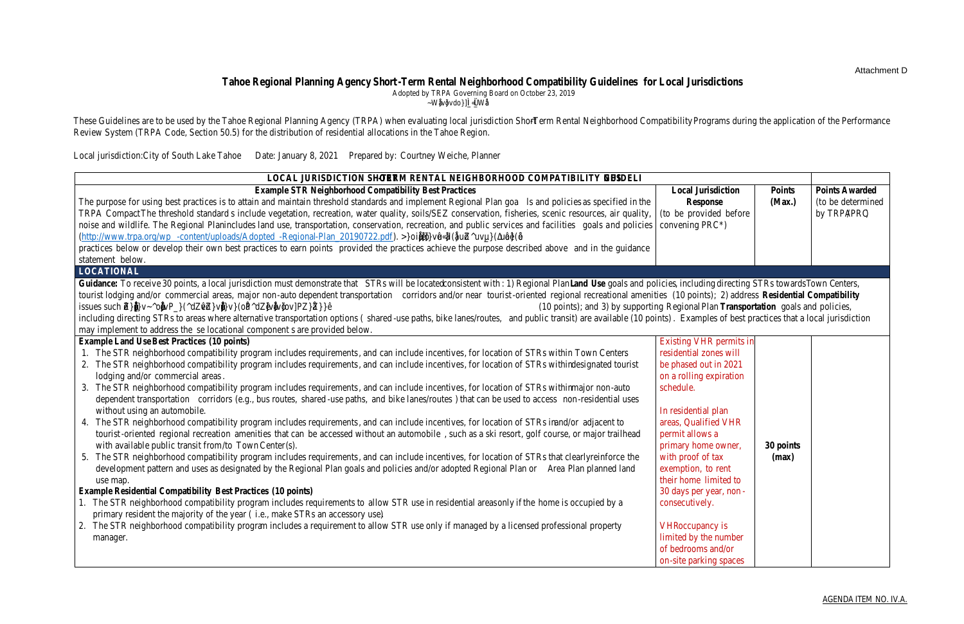Allocations not distributed under the Performance Review System will be assigned to TRPA's Residential Allocation Incentive Pool. Individuals can apply for an allocation from the Residential Allocation Incentive Pool in exchange for retiring a sensitive lot and local jurisdictions can apply for allocations in exchange for restoring stream environment zones, building multi-family housing in Town Centers, transferring residential development rights to Town Centers, maintaining a Certified Local Government Moderate Income Housing Program, and demonstrating progress towards other Regional Plan Goals and Policies (refer to TRPA Code, Section 50.5.1.D).

The allocations distributed for 2021 and 2022 will be added to the total remaining allocations shown in Table 4.

| <b>Table 4: Total Remaining Allocations</b> |                                    |  |  |
|---------------------------------------------|------------------------------------|--|--|
| <b>Jurisdiction</b>                         | <b>Total Remaining Allocations</b> |  |  |
| Douglas County, NV                          | 46                                 |  |  |
| El Dorado County, CA                        | 34                                 |  |  |
| Placer County, CA                           | 193                                |  |  |
| City of South Lake Tahoe, CA                | 56                                 |  |  |
| Tahoe Regional Planning Agency              | 62                                 |  |  |
| Washoe County, NV                           | 116                                |  |  |
| Total                                       |                                    |  |  |

Source: LakeTahoeInfo 2/8/2021

TRPA staff appreciates the efforts of the local jurisdictions in helping to achieve the targets of the residential allocation program.

# Contact Information:

For questions regarding this agenda item, please contact Brandy McMahon, AICP, Local Government Coordinator, at (775) 589-5274 or bmcmahon@trpa.org.

# Attachments:

- A. STR Neighborhood Compatibility Guidelines Douglas County
- B. STR Neighborhood Compatibility Guidelines El Dorado County
- C. STR Neighborhood Compatibility Guidelines Placer County
- D. STR Neighborhood Compatibility Guidelines City of South Lake Tahoe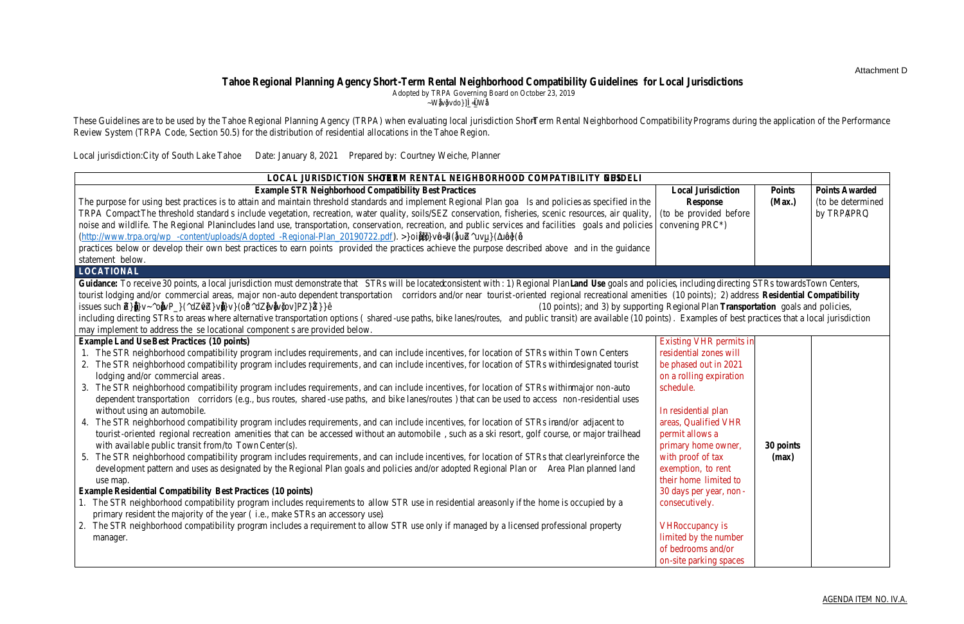# Attachment A

STR Neighborhood Compatibility Guidelines – Douglas County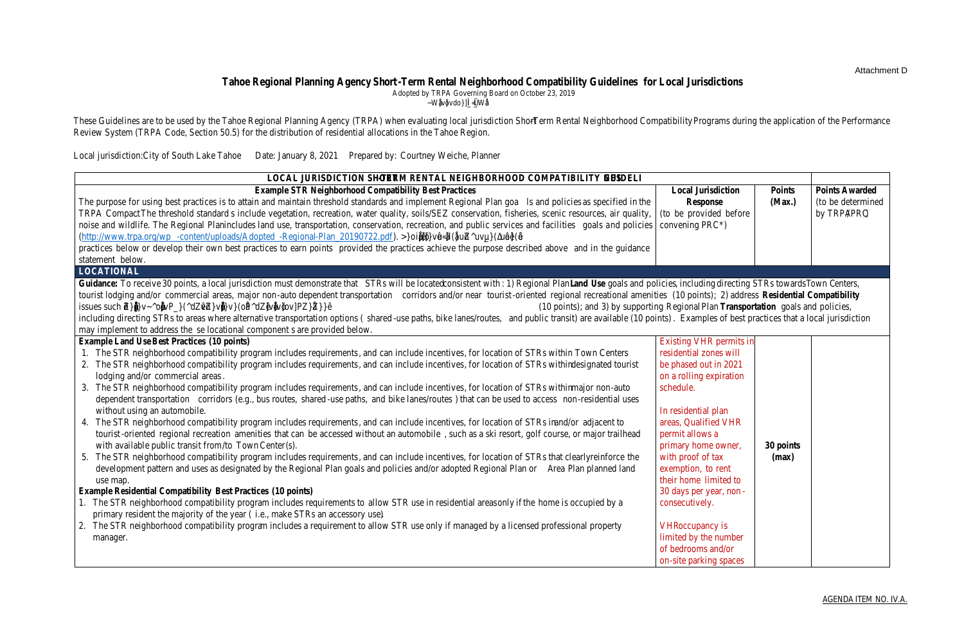### Attachment B

STR Neighborhood Compatibility Guidelines – El Dorado County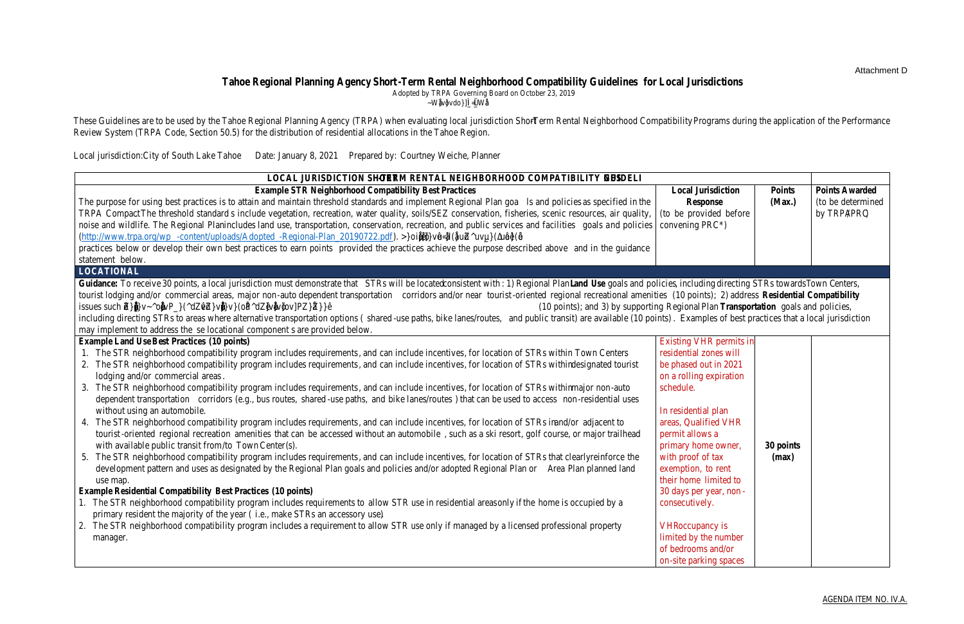# Attachment C

STR Neighborhood Compatibility Guidelines – Placer County